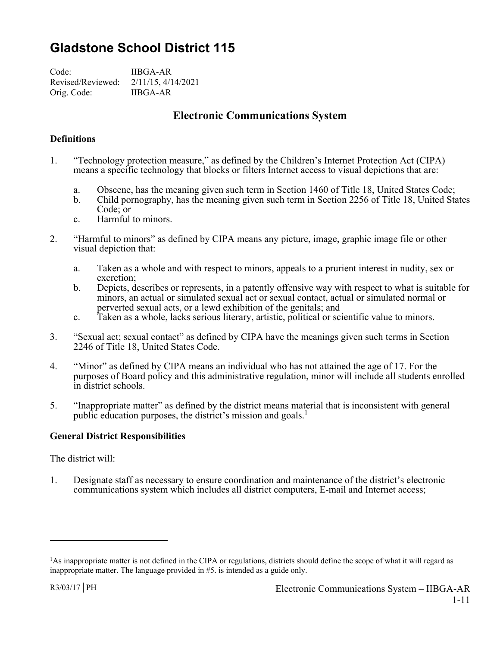# **Gladstone School District 115**

Code: IIBGA-AR Revised/Reviewed: 2/11/15, 4/14/2021 Orig. Code: IIBGA-AR

# **Electronic Communications System**

## **Definitions**

- 1. "Technology protection measure," as defined by the Children's Internet Protection Act (CIPA) means a specific technology that blocks or filters Internet access to visual depictions that are:
	- a. Obscene, has the meaning given such term in Section 1460 of Title 18, United States Code;
	- b. Child pornography, has the meaning given such term in Section 2256 of Title 18, United States Code; or
	- c. Harmful to minors.
- 2. "Harmful to minors" as defined by CIPA means any picture, image, graphic image file or other visual depiction that:
	- a. Taken as a whole and with respect to minors, appeals to a prurient interest in nudity, sex or excretion;
	- b. Depicts, describes or represents, in a patently offensive way with respect to what is suitable for minors, an actual or simulated sexual act or sexual contact, actual or simulated normal or perverted sexual acts, or a lewd exhibition of the genitals; and
	- c. Taken as a whole, lacks serious literary, artistic, political or scientific value to minors.
- 3. "Sexual act; sexual contact" as defined by CIPA have the meanings given such terms in Section 2246 of Title 18, United States Code.
- 4. "Minor" as defined by CIPA means an individual who has not attained the age of 17. For the purposes of Board policy and this administrative regulation, minor will include all students enrolled in district schools.
- 5. "Inappropriate matter" as defined by the district means material that is inconsistent with general public education purposes, the district's mission and goals.<sup>1</sup>

## **General District Responsibilities**

The district will:

1. Designate staff as necessary to ensure coordination and maintenance of the district's electronic communications system which includes all district computers, E-mail and Internet access;

 $\overline{a}$ 

<sup>&</sup>lt;sup>1</sup>As inappropriate matter is not defined in the CIPA or regulations, districts should define the scope of what it will regard as inappropriate matter. The language provided in #5. is intended as a guide only.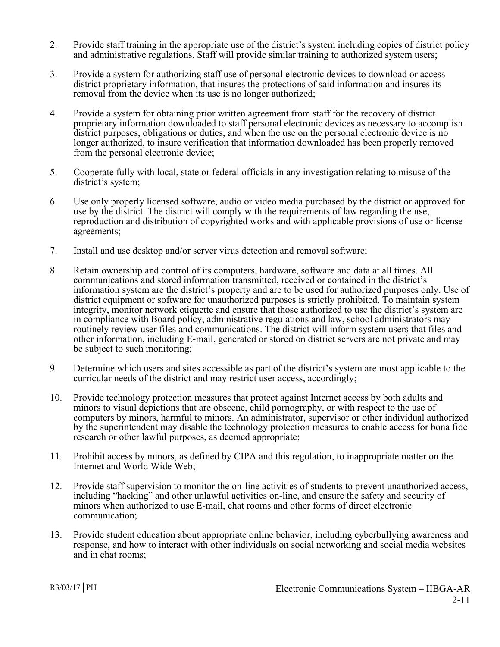- 2. Provide staff training in the appropriate use of the district's system including copies of district policy and administrative regulations. Staff will provide similar training to authorized system users;
- 3. Provide a system for authorizing staff use of personal electronic devices to download or access district proprietary information, that insures the protections of said information and insures its removal from the device when its use is no longer authorized;
- 4. Provide a system for obtaining prior written agreement from staff for the recovery of district proprietary information downloaded to staff personal electronic devices as necessary to accomplish district purposes, obligations or duties, and when the use on the personal electronic device is no longer authorized, to insure verification that information downloaded has been properly removed from the personal electronic device;
- 5. Cooperate fully with local, state or federal officials in any investigation relating to misuse of the district's system;
- 6. Use only properly licensed software, audio or video media purchased by the district or approved for use by the district. The district will comply with the requirements of law regarding the use, reproduction and distribution of copyrighted works and with applicable provisions of use or license agreements;
- 7. Install and use desktop and/or server virus detection and removal software;
- 8. Retain ownership and control of its computers, hardware, software and data at all times. All communications and stored information transmitted, received or contained in the district's information system are the district's property and are to be used for authorized purposes only. Use of district equipment or software for unauthorized purposes is strictly prohibited. To maintain system integrity, monitor network etiquette and ensure that those authorized to use the district's system are in compliance with Board policy, administrative regulations and law, school administrators may routinely review user files and communications. The district will inform system users that files and other information, including E-mail, generated or stored on district servers are not private and may be subject to such monitoring;
- 9. Determine which users and sites accessible as part of the district's system are most applicable to the curricular needs of the district and may restrict user access, accordingly;
- 10. Provide technology protection measures that protect against Internet access by both adults and minors to visual depictions that are obscene, child pornography, or with respect to the use of computers by minors, harmful to minors. An administrator, supervisor or other individual authorized by the superintendent may disable the technology protection measures to enable access for bona fide research or other lawful purposes, as deemed appropriate;
- 11. Prohibit access by minors, as defined by CIPA and this regulation, to inappropriate matter on the Internet and World Wide Web;
- 12. Provide staff supervision to monitor the on-line activities of students to prevent unauthorized access, including "hacking" and other unlawful activities on-line, and ensure the safety and security of minors when authorized to use E-mail, chat rooms and other forms of direct electronic communication;
- 13. Provide student education about appropriate online behavior, including cyberbullying awareness and response, and how to interact with other individuals on social networking and social media websites and in chat rooms;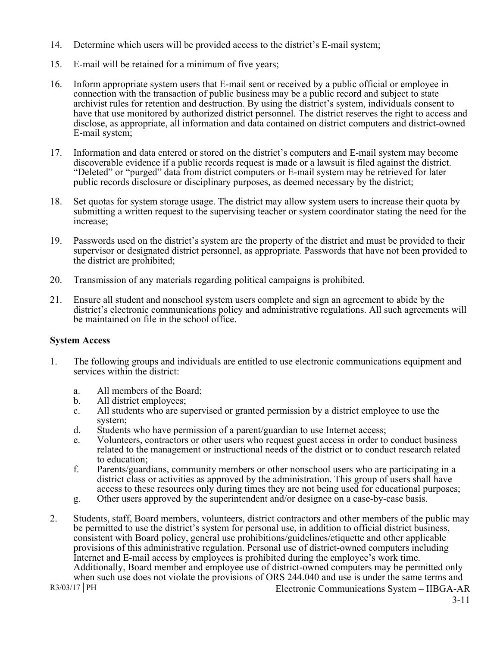- 14. Determine which users will be provided access to the district's E-mail system;
- 15. E-mail will be retained for a minimum of five years;
- 16. Inform appropriate system users that E-mail sent or received by a public official or employee in connection with the transaction of public business may be a public record and subject to state archivist rules for retention and destruction. By using the district's system, individuals consent to have that use monitored by authorized district personnel. The district reserves the right to access and disclose, as appropriate, all information and data contained on district computers and district-owned E-mail system;
- 17. Information and data entered or stored on the district's computers and E-mail system may become discoverable evidence if a public records request is made or a lawsuit is filed against the district. "Deleted" or "purged" data from district computers or E-mail system may be retrieved for later public records disclosure or disciplinary purposes, as deemed necessary by the district;
- 18. Set quotas for system storage usage. The district may allow system users to increase their quota by submitting a written request to the supervising teacher or system coordinator stating the need for the increase;
- 19. Passwords used on the district's system are the property of the district and must be provided to their supervisor or designated district personnel, as appropriate. Passwords that have not been provided to the district are prohibited;
- 20. Transmission of any materials regarding political campaigns is prohibited.
- 21. Ensure all student and nonschool system users complete and sign an agreement to abide by the district's electronic communications policy and administrative regulations. All such agreements will be maintained on file in the school office.

#### **System Access**

- 1. The following groups and individuals are entitled to use electronic communications equipment and services within the district:
	- a. All members of the Board;
	- b. All district employees;
	- c. All students who are supervised or granted permission by a district employee to use the system;
	- d. Students who have permission of a parent/guardian to use Internet access;
	- e. Volunteers, contractors or other users who request guest access in order to conduct business related to the management or instructional needs of the district or to conduct research related to education;
	- f. Parents/guardians, community members or other nonschool users who are participating in a district class or activities as approved by the administration. This group of users shall have access to these resources only during times they are not being used for educational purposes;
	- g. Other users approved by the superintendent and/or designee on a case-by-case basis.
- R3/03/17 PH Electronic Communications System IIBGA-AR 2. Students, staff, Board members, volunteers, district contractors and other members of the public may be permitted to use the district's system for personal use, in addition to official district business, consistent with Board policy, general use prohibitions/guidelines/etiquette and other applicable provisions of this administrative regulation. Personal use of district-owned computers including Internet and E-mail access by employees is prohibited during the employee's work time. Additionally, Board member and employee use of district-owned computers may be permitted only when such use does not violate the provisions of ORS 244.040 and use is under the same terms and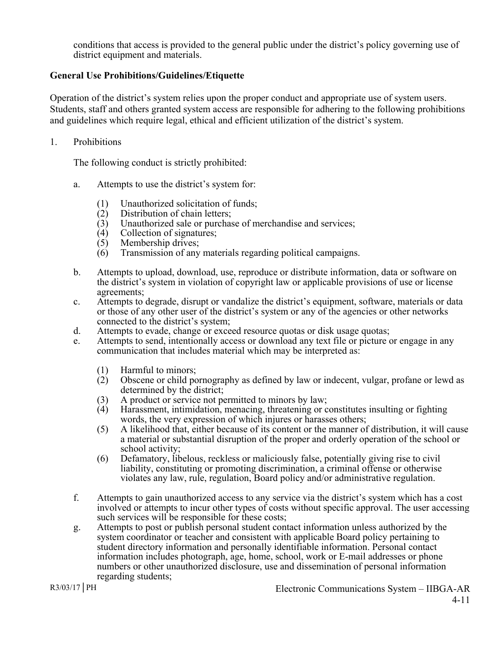conditions that access is provided to the general public under the district's policy governing use of district equipment and materials.

#### **General Use Prohibitions/Guidelines/Etiquette**

Operation of the district's system relies upon the proper conduct and appropriate use of system users. Students, staff and others granted system access are responsible for adhering to the following prohibitions and guidelines which require legal, ethical and efficient utilization of the district's system.

1. Prohibitions

The following conduct is strictly prohibited:

- a. Attempts to use the district's system for:
	- (1) Unauthorized solicitation of funds;
	- (2) Distribution of chain letters;
	- (3) Unauthorized sale or purchase of merchandise and services;
	- (4) Collection of signatures;
	- (5) Membership drives;
	- (6) Transmission of any materials regarding political campaigns.
- b. Attempts to upload, download, use, reproduce or distribute information, data or software on the district's system in violation of copyright law or applicable provisions of use or license agreements;
- c. Attempts to degrade, disrupt or vandalize the district's equipment, software, materials or data or those of any other user of the district's system or any of the agencies or other networks connected to the district's system;
- d. Attempts to evade, change or exceed resource quotas or disk usage quotas;
- e. Attempts to send, intentionally access or download any text file or picture or engage in any communication that includes material which may be interpreted as:
	- (1) Harmful to minors;
	- (2) Obscene or child pornography as defined by law or indecent, vulgar, profane or lewd as determined by the district;
	- (3) A product or service not permitted to minors by law;
	- (4) Harassment, intimidation, menacing, threatening or constitutes insulting or fighting words, the very expression of which injures or harasses others;
	- (5) A likelihood that, either because of its content or the manner of distribution, it will cause a material or substantial disruption of the proper and orderly operation of the school or school activity;
	- (6) Defamatory, libelous, reckless or maliciously false, potentially giving rise to civil liability, constituting or promoting discrimination, a criminal offense or otherwise violates any law, rule, regulation, Board policy and/or administrative regulation.
- f. Attempts to gain unauthorized access to any service via the district's system which has a cost involved or attempts to incur other types of costs without specific approval. The user accessing such services will be responsible for these costs;
- g. Attempts to post or publish personal student contact information unless authorized by the system coordinator or teacher and consistent with applicable Board policy pertaining to student directory information and personally identifiable information. Personal contact information includes photograph, age, home, school, work or E-mail addresses or phone numbers or other unauthorized disclosure, use and dissemination of personal information regarding students;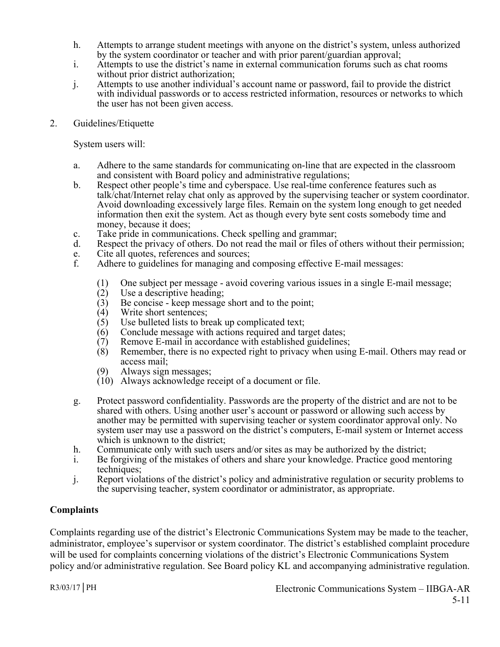- h. Attempts to arrange student meetings with anyone on the district's system, unless authorized by the system coordinator or teacher and with prior parent/guardian approval;
- i. Attempts to use the district's name in external communication forums such as chat rooms without prior district authorization;
- j. Attempts to use another individual's account name or password, fail to provide the district with individual passwords or to access restricted information, resources or networks to which the user has not been given access.
- 2. Guidelines/Etiquette

System users will:

- a. Adhere to the same standards for communicating on-line that are expected in the classroom and consistent with Board policy and administrative regulations;
- b. Respect other people's time and cyberspace. Use real-time conference features such as talk/chat/Internet relay chat only as approved by the supervising teacher or system coordinator. Avoid downloading excessively large files. Remain on the system long enough to get needed information then exit the system. Act as though every byte sent costs somebody time and money, because it does;
- c. Take pride in communications. Check spelling and grammar;
- d. Respect the privacy of others. Do not read the mail or files of others without their permission;
- e. Cite all quotes, references and sources;
- f. Adhere to guidelines for managing and composing effective E-mail messages:
	- (1) One subject per message avoid covering various issues in a single E-mail message;<br>(2) Use a descriptive heading;
	- Use a descriptive heading;
	- (3) Be concise keep message short and to the point;
	- (4) Write short sentences;
	- (5) Use bulleted lists to break up complicated text;
	- (6) Conclude message with actions required and target dates;<br>(7) Remove E-mail in accordance with established guidelines
	- Remove E-mail in accordance with established guidelines;
	- (8) Remember, there is no expected right to privacy when using E-mail. Others may read or access mail;
	- (9) Always sign messages;
	- (10) Always acknowledge receipt of a document or file.
- g. Protect password confidentiality. Passwords are the property of the district and are not to be shared with others. Using another user's account or password or allowing such access by another may be permitted with supervising teacher or system coordinator approval only. No system user may use a password on the district's computers, E-mail system or Internet access which is unknown to the district;
- h. Communicate only with such users and/or sites as may be authorized by the district;
- i. Be forgiving of the mistakes of others and share your knowledge. Practice good mentoring techniques;
- j. Report violations of the district's policy and administrative regulation or security problems to the supervising teacher, system coordinator or administrator, as appropriate.

## **Complaints**

Complaints regarding use of the district's Electronic Communications System may be made to the teacher, administrator, employee's supervisor or system coordinator. The district's established complaint procedure will be used for complaints concerning violations of the district's Electronic Communications System policy and/or administrative regulation. See Board policy KL and accompanying administrative regulation.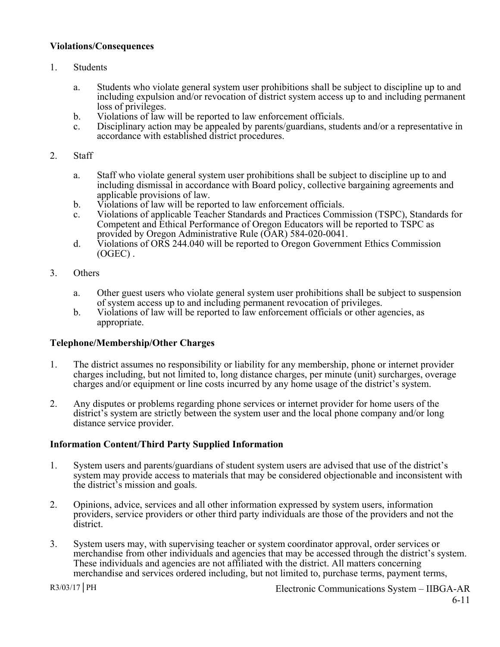#### **Violations/Consequences**

- 1. Students
	- a. Students who violate general system user prohibitions shall be subject to discipline up to and including expulsion and/or revocation of district system access up to and including permanent loss of privileges.
	- b. Violations of law will be reported to law enforcement officials.
	- c. Disciplinary action may be appealed by parents/guardians, students and/or a representative in accordance with established district procedures.
- 2. Staff
	- a. Staff who violate general system user prohibitions shall be subject to discipline up to and including dismissal in accordance with Board policy, collective bargaining agreements and applicable provisions of law.
	- b. Violations of law will be reported to law enforcement officials.
	- c. Violations of applicable Teacher Standards and Practices Commission (TSPC), Standards for Competent and Ethical Performance of Oregon Educators will be reported to TSPC as provided by Oregon Administrative Rule (OAR) 584-020-0041.
	- d. Violations of ORS 244.040 will be reported to Oregon Government Ethics Commission (OGEC) .
- 3. Others
	- a. Other guest users who violate general system user prohibitions shall be subject to suspension of system access up to and including permanent revocation of privileges.
	- b. Violations of law will be reported to law enforcement officials or other agencies, as appropriate.

#### **Telephone/Membership/Other Charges**

- 1. The district assumes no responsibility or liability for any membership, phone or internet provider charges including, but not limited to, long distance charges, per minute (unit) surcharges, overage charges and/or equipment or line costs incurred by any home usage of the district's system.
- 2. Any disputes or problems regarding phone services or internet provider for home users of the district's system are strictly between the system user and the local phone company and/or long distance service provider.

#### **Information Content/Third Party Supplied Information**

- 1. System users and parents/guardians of student system users are advised that use of the district's system may provide access to materials that may be considered objectionable and inconsistent with the district's mission and goals.
- 2. Opinions, advice, services and all other information expressed by system users, information providers, service providers or other third party individuals are those of the providers and not the district.
- 3. System users may, with supervising teacher or system coordinator approval, order services or merchandise from other individuals and agencies that may be accessed through the district's system. These individuals and agencies are not affiliated with the district. All matters concerning merchandise and services ordered including, but not limited to, purchase terms, payment terms,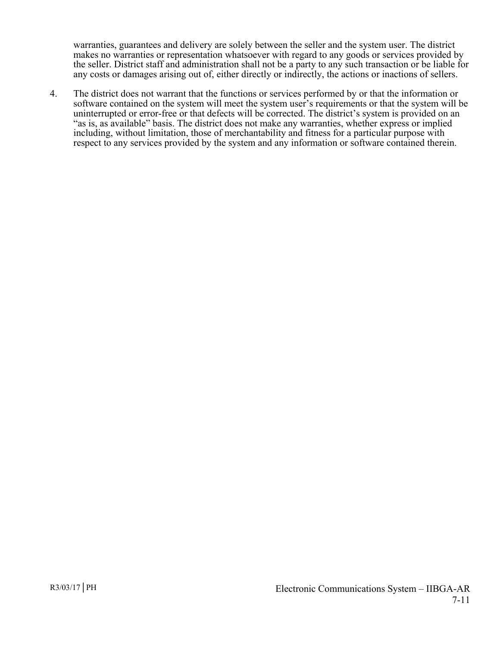warranties, guarantees and delivery are solely between the seller and the system user. The district makes no warranties or representation whatsoever with regard to any goods or services provided by the seller. District staff and administration shall not be a party to any such transaction or be liable for any costs or damages arising out of, either directly or indirectly, the actions or inactions of sellers.

4. The district does not warrant that the functions or services performed by or that the information or software contained on the system will meet the system user's requirements or that the system will be uninterrupted or error-free or that defects will be corrected. The district's system is provided on an "as is, as available" basis. The district does not make any warranties, whether express or implied including, without limitation, those of merchantability and fitness for a particular purpose with respect to any services provided by the system and any information or software contained therein.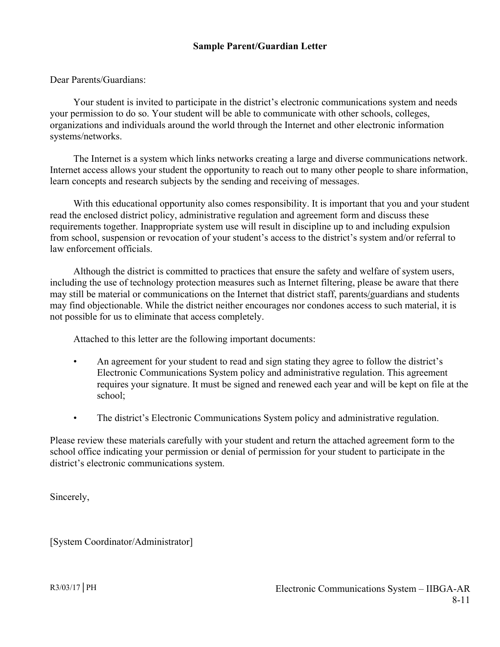Dear Parents/Guardians:

 Your student is invited to participate in the district's electronic communications system and needs your permission to do so. Your student will be able to communicate with other schools, colleges, organizations and individuals around the world through the Internet and other electronic information systems/networks.

 The Internet is a system which links networks creating a large and diverse communications network. Internet access allows your student the opportunity to reach out to many other people to share information, learn concepts and research subjects by the sending and receiving of messages.

With this educational opportunity also comes responsibility. It is important that you and your student read the enclosed district policy, administrative regulation and agreement form and discuss these requirements together. Inappropriate system use will result in discipline up to and including expulsion from school, suspension or revocation of your student's access to the district's system and/or referral to law enforcement officials.

 Although the district is committed to practices that ensure the safety and welfare of system users, including the use of technology protection measures such as Internet filtering, please be aware that there may still be material or communications on the Internet that district staff, parents/guardians and students may find objectionable. While the district neither encourages nor condones access to such material, it is not possible for us to eliminate that access completely.

Attached to this letter are the following important documents:

- An agreement for your student to read and sign stating they agree to follow the district's Electronic Communications System policy and administrative regulation. This agreement requires your signature. It must be signed and renewed each year and will be kept on file at the school;
- The district's Electronic Communications System policy and administrative regulation.

Please review these materials carefully with your student and return the attached agreement form to the school office indicating your permission or denial of permission for your student to participate in the district's electronic communications system.

Sincerely,

[System Coordinator/Administrator]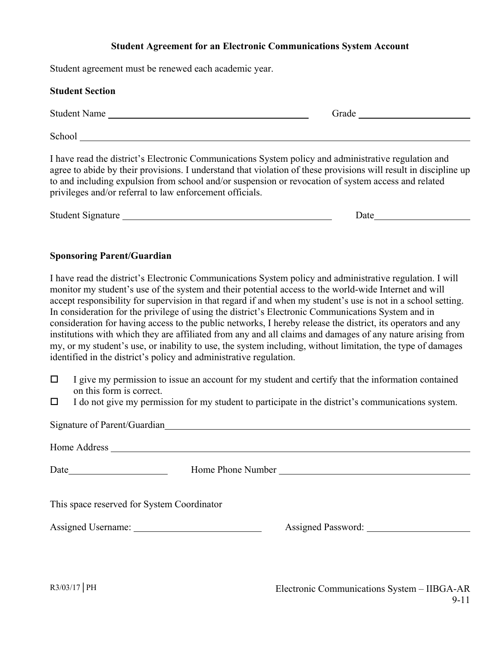# **Student Agreement for an Electronic Communications System Account**

Student agreement must be renewed each academic year.

| Stadent agreement must be renewed each academic year.                                                                                                                                                                                                                                                                                                                                                                                                                                                                                                                                                                                                                                                                                                                                                                                                       |                                                                                                                                                                                                                               |
|-------------------------------------------------------------------------------------------------------------------------------------------------------------------------------------------------------------------------------------------------------------------------------------------------------------------------------------------------------------------------------------------------------------------------------------------------------------------------------------------------------------------------------------------------------------------------------------------------------------------------------------------------------------------------------------------------------------------------------------------------------------------------------------------------------------------------------------------------------------|-------------------------------------------------------------------------------------------------------------------------------------------------------------------------------------------------------------------------------|
| <b>Student Section</b>                                                                                                                                                                                                                                                                                                                                                                                                                                                                                                                                                                                                                                                                                                                                                                                                                                      |                                                                                                                                                                                                                               |
| Student Name                                                                                                                                                                                                                                                                                                                                                                                                                                                                                                                                                                                                                                                                                                                                                                                                                                                | Grade and the contract of the contract of the contract of the contract of the contract of the contract of the contract of the contract of the contract of the contract of the contract of the contract of the contract of the |
|                                                                                                                                                                                                                                                                                                                                                                                                                                                                                                                                                                                                                                                                                                                                                                                                                                                             |                                                                                                                                                                                                                               |
| I have read the district's Electronic Communications System policy and administrative regulation and<br>agree to abide by their provisions. I understand that violation of these provisions will result in discipline up<br>to and including expulsion from school and/or suspension or revocation of system access and related<br>privileges and/or referral to law enforcement officials.                                                                                                                                                                                                                                                                                                                                                                                                                                                                 |                                                                                                                                                                                                                               |
| Student Signature                                                                                                                                                                                                                                                                                                                                                                                                                                                                                                                                                                                                                                                                                                                                                                                                                                           | Date and the same state of the state of the state of the state of the state of the state of the state of the state of the state of the state of the state of the state of the state of the state of the state of the state of |
| <b>Sponsoring Parent/Guardian</b>                                                                                                                                                                                                                                                                                                                                                                                                                                                                                                                                                                                                                                                                                                                                                                                                                           |                                                                                                                                                                                                                               |
| I have read the district's Electronic Communications System policy and administrative regulation. I will<br>monitor my student's use of the system and their potential access to the world-wide Internet and will<br>accept responsibility for supervision in that regard if and when my student's use is not in a school setting.<br>In consideration for the privilege of using the district's Electronic Communications System and in<br>consideration for having access to the public networks, I hereby release the district, its operators and any<br>institutions with which they are affiliated from any and all claims and damages of any nature arising from<br>my, or my student's use, or inability to use, the system including, without limitation, the type of damages<br>identified in the district's policy and administrative regulation. |                                                                                                                                                                                                                               |
| I give my permission to issue an account for my student and certify that the information contained<br>$\Box$<br>on this form is correct.<br>I do not give my permission for my student to participate in the district's communications system.<br>$\Box$                                                                                                                                                                                                                                                                                                                                                                                                                                                                                                                                                                                                    |                                                                                                                                                                                                                               |
| Signature of Parent/Guardian                                                                                                                                                                                                                                                                                                                                                                                                                                                                                                                                                                                                                                                                                                                                                                                                                                |                                                                                                                                                                                                                               |
|                                                                                                                                                                                                                                                                                                                                                                                                                                                                                                                                                                                                                                                                                                                                                                                                                                                             |                                                                                                                                                                                                                               |
|                                                                                                                                                                                                                                                                                                                                                                                                                                                                                                                                                                                                                                                                                                                                                                                                                                                             |                                                                                                                                                                                                                               |
| This space reserved for System Coordinator                                                                                                                                                                                                                                                                                                                                                                                                                                                                                                                                                                                                                                                                                                                                                                                                                  | Assigned Password: 2008                                                                                                                                                                                                       |
|                                                                                                                                                                                                                                                                                                                                                                                                                                                                                                                                                                                                                                                                                                                                                                                                                                                             |                                                                                                                                                                                                                               |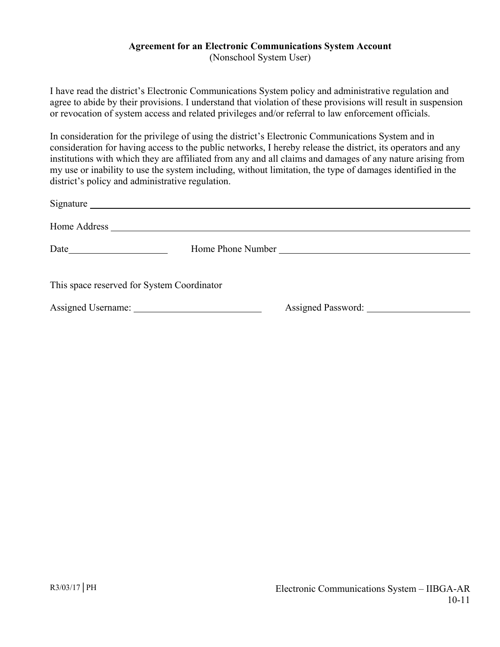# **Agreement for an Electronic Communications System Account**

(Nonschool System User)

I have read the district's Electronic Communications System policy and administrative regulation and agree to abide by their provisions. I understand that violation of these provisions will result in suspension or revocation of system access and related privileges and/or referral to law enforcement officials.

In consideration for the privilege of using the district's Electronic Communications System and in consideration for having access to the public networks, I hereby release the district, its operators and any institutions with which they are affiliated from any and all claims and damages of any nature arising from my use or inability to use the system including, without limitation, the type of damages identified in the district's policy and administrative regulation.

|                                            | Home Phone Number            |
|--------------------------------------------|------------------------------|
| This space reserved for System Coordinator |                              |
|                                            | Assigned Password: 1986 1987 |